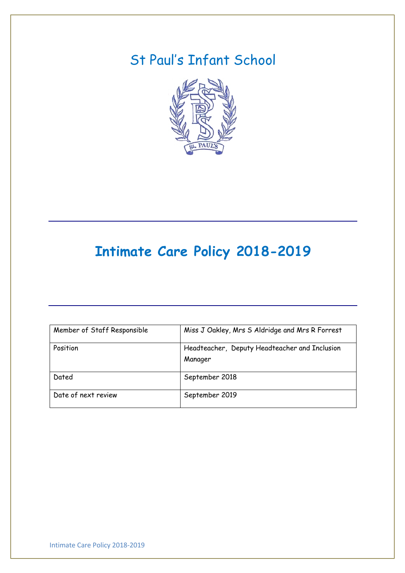# St Paul's Infant School



# **Intimate Care Policy 2018-2019**

| Member of Staff Responsible | Miss J Oakley, Mrs S Aldridge and Mrs R Forrest |
|-----------------------------|-------------------------------------------------|
| Position                    | Headteacher, Deputy Headteacher and Inclusion   |
|                             | Manager                                         |
| Dated                       | September 2018                                  |
| Date of next review         | September 2019                                  |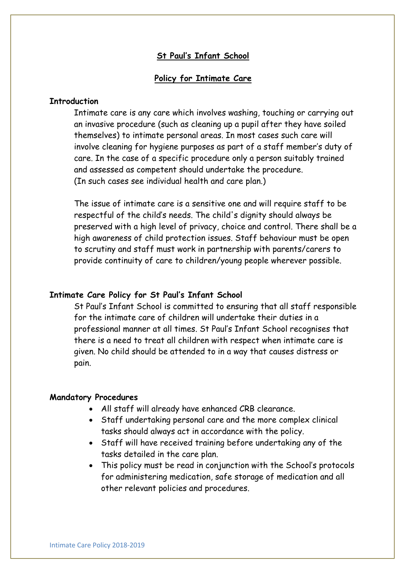## **St Paul's Infant School**

## **Policy for Intimate Care**

## **Introduction**

Intimate care is any care which involves washing, touching or carrying out an invasive procedure (such as cleaning up a pupil after they have soiled themselves) to intimate personal areas. In most cases such care will involve cleaning for hygiene purposes as part of a staff member's duty of care. In the case of a specific procedure only a person suitably trained and assessed as competent should undertake the procedure. (In such cases see individual health and care plan.)

The issue of intimate care is a sensitive one and will require staff to be respectful of the child's needs. The child's dignity should always be preserved with a high level of privacy, choice and control. There shall be a high awareness of child protection issues. Staff behaviour must be open to scrutiny and staff must work in partnership with parents/carers to provide continuity of care to children/young people wherever possible.

#### **Intimate Care Policy for St Paul's Infant School**

St Paul's Infant School is committed to ensuring that all staff responsible for the intimate care of children will undertake their duties in a professional manner at all times. St Paul's Infant School recognises that there is a need to treat all children with respect when intimate care is given. No child should be attended to in a way that causes distress or pain.

#### **Mandatory Procedures**

- All staff will already have enhanced CRB clearance.
- Staff undertaking personal care and the more complex clinical tasks should always act in accordance with the policy.
- Staff will have received training before undertaking any of the tasks detailed in the care plan.
- This policy must be read in conjunction with the School's protocols for administering medication, safe storage of medication and all other relevant policies and procedures.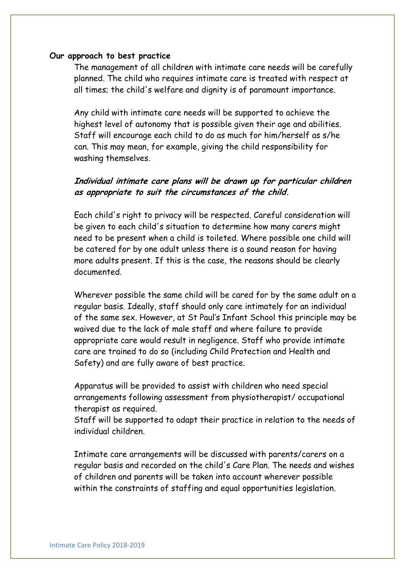## **Our approach to best practice**

The management of all children with intimate care needs will be carefully planned. The child who requires intimate care is treated with respect at all times; the child's welfare and dignity is of paramount importance.

Any child with intimate care needs will be supported to achieve the highest level of autonomy that is possible given their age and abilities. Staff will encourage each child to do as much for him/herself as s/he can. This may mean, for example, giving the child responsibility for washing themselves.

# **Individual intimate care plans will be drawn up for particular children as appropriate to suit the circumstances of the child.**

Each child's right to privacy will be respected. Careful consideration will be given to each child's situation to determine how many carers might need to be present when a child is toileted. Where possible one child will be catered for by one adult unless there is a sound reason for having more adults present. If this is the case, the reasons should be clearly documented.

Wherever possible the same child will be cared for by the same adult on a regular basis. Ideally, staff should only care intimately for an individual of the same sex. However, at St Paul's Infant School this principle may be waived due to the lack of male staff and where failure to provide appropriate care would result in negligence. Staff who provide intimate care are trained to do so (including Child Protection and Health and Safety) and are fully aware of best practice.

Apparatus will be provided to assist with children who need special arrangements following assessment from physiotherapist/ occupational therapist as required.

Staff will be supported to adapt their practice in relation to the needs of individual children.

Intimate care arrangements will be discussed with parents/carers on a regular basis and recorded on the child's Care Plan. The needs and wishes of children and parents will be taken into account wherever possible within the constraints of staffing and equal opportunities legislation.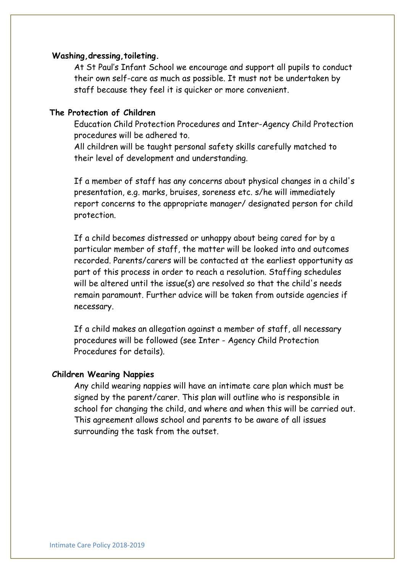## **Washing,dressing,toileting.**

At St Paul's Infant School we encourage and support all pupils to conduct their own self-care as much as possible. It must not be undertaken by staff because they feel it is quicker or more convenient.

# **The Protection of Children**

Education Child Protection Procedures and Inter-Agency Child Protection procedures will be adhered to.

All children will be taught personal safety skills carefully matched to their level of development and understanding.

If a member of staff has any concerns about physical changes in a child's presentation, e.g. marks, bruises, soreness etc. s/he will immediately report concerns to the appropriate manager/ designated person for child protection.

If a child becomes distressed or unhappy about being cared for by a particular member of staff, the matter will be looked into and outcomes recorded. Parents/carers will be contacted at the earliest opportunity as part of this process in order to reach a resolution. Staffing schedules will be altered until the issue(s) are resolved so that the child's needs remain paramount. Further advice will be taken from outside agencies if necessary.

If a child makes an allegation against a member of staff, all necessary procedures will be followed (see Inter - Agency Child Protection Procedures for details).

#### **Children Wearing Nappies**

Any child wearing nappies will have an intimate care plan which must be signed by the parent/carer. This plan will outline who is responsible in school for changing the child, and where and when this will be carried out. This agreement allows school and parents to be aware of all issues surrounding the task from the outset.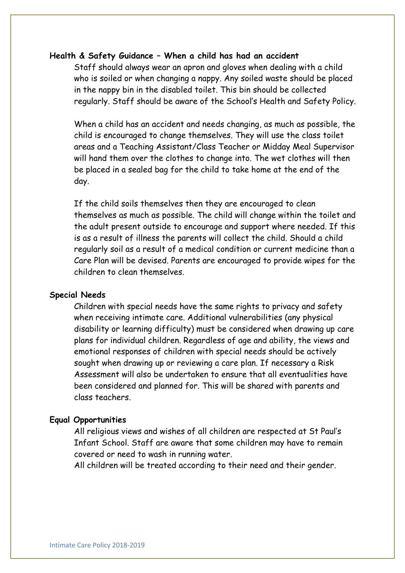## **Health & Safety Guidance – When a child has had an accident**

Staff should always wear an apron and gloves when dealing with a child who is soiled or when changing a nappy. Any soiled waste should be placed in the nappy bin in the disabled toilet. This bin should be collected regularly. Staff should be aware of the School's Health and Safety Policy.

When a child has an accident and needs changing, as much as possible, the child is encouraged to change themselves. They will use the class toilet areas and a Teaching Assistant/Class Teacher or Midday Meal Supervisor will hand them over the clothes to change into. The wet clothes will then be placed in a sealed bag for the child to take home at the end of the day.

If the child soils themselves then they are encouraged to clean themselves as much as possible. The child will change within the toilet and the adult present outside to encourage and support where needed. If this is as a result of illness the parents will collect the child. Should a child regularly soil as a result of a medical condition or current medicine than a Care Plan will be devised. Parents are encouraged to provide wipes for the children to clean themselves.

#### **Special Needs**

Children with special needs have the same rights to privacy and safety when receiving intimate care. Additional vulnerabilities (any physical disability or learning difficulty) must be considered when drawing up care plans for individual children. Regardless of age and ability, the views and emotional responses of children with special needs should be actively sought when drawing up or reviewing a care plan. If necessary a Risk Assessment will also be undertaken to ensure that all eventualities have been considered and planned for. This will be shared with parents and class teachers.

#### **Equal Opportunities**

All religious views and wishes of all children are respected at St Paul's Infant School. Staff are aware that some children may have to remain covered or need to wash in running water.

All children will be treated according to their need and their gender.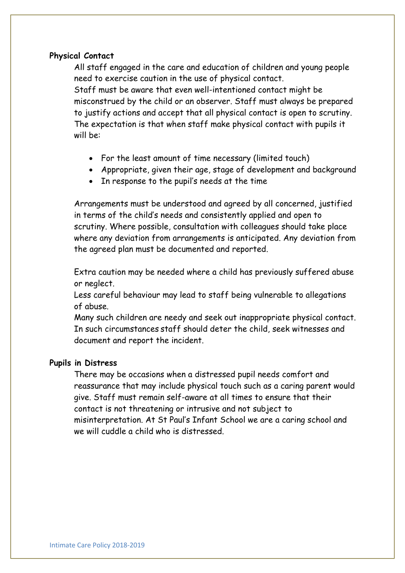## **Physical Contact**

All staff engaged in the care and education of children and young people need to exercise caution in the use of physical contact. Staff must be aware that even well-intentioned contact might be misconstrued by the child or an observer. Staff must always be prepared to justify actions and accept that all physical contact is open to scrutiny. The expectation is that when staff make physical contact with pupils it will be:

- For the least amount of time necessary (limited touch)
- Appropriate, given their age, stage of development and background
- In response to the pupil's needs at the time

Arrangements must be understood and agreed by all concerned, justified in terms of the child's needs and consistently applied and open to scrutiny. Where possible, consultation with colleagues should take place where any deviation from arrangements is anticipated. Any deviation from the agreed plan must be documented and reported.

Extra caution may be needed where a child has previously suffered abuse or neglect.

Less careful behaviour may lead to staff being vulnerable to allegations of abuse.

Many such children are needy and seek out inappropriate physical contact. In such circumstances staff should deter the child, seek witnesses and document and report the incident.

# **Pupils in Distress**

There may be occasions when a distressed pupil needs comfort and reassurance that may include physical touch such as a caring parent would give. Staff must remain self-aware at all times to ensure that their contact is not threatening or intrusive and not subject to misinterpretation. At St Paul's Infant School we are a caring school and we will cuddle a child who is distressed.